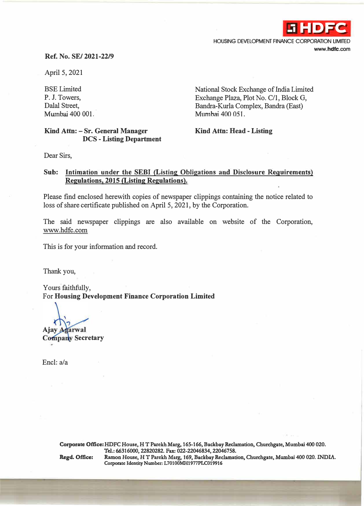

HOUSING DEVELOPMENT FINANCE CORPORATION LIMITED **www.hdfc.com** 

## **Ref. No. SE/ 2021-22/9**

April 5, 2021

BSE Limited P. J. Towers, Dalal Street, Mumbai 400 001. National Stock Exchange of India Limited Exchange Plaza, Plot No. C/1, Block G, Bandra-Kurla Complex, Bandra (East) Mumbai 400 051.

## **Kind Attn: - Sr. General Manager DCS - Listing Department**

**Kind Attn: Head - Listing** 

Dear Sirs,

## Sub: Intimation under the SEBI (Listing Obligations and Disclosure Requirements) **Regulations, 2015 {Listing Regulations).**

Please find enclosed herewith copies of newspaper clippings containing the notice related to loss of share certificate published on April 5, 2021, by the Corporation.

The said newspaper clippings are also available on website of the Corporation, www.hdfc.com

This is for your information and record.

Thank you,

Yours faithfully, For **Housing Development Finance Corporation Limited** 

arwal

Ajay **Company Secretary** 

Encl: a/a

Corporate Office: HDFC House, HT Parekh Marg, 165-166, Backbay Reclamation, Churchgate, Mumbai 400 020. **Tel.: 66316000, 22820282. Fax: 022�22046834, 22046758.**  Regd. Office: Ramon House, H T Parekh Marg, 169, Backbay Reclamation, Churchgate, Mumbai 400 020. INDIA. **Cotponte Identity Number: L70100MH1977PLC019916**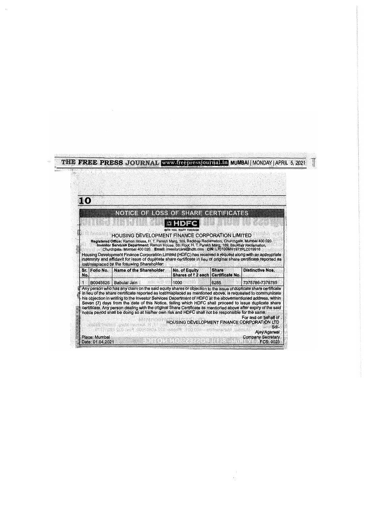|           |          | <b>THE FREE PRESS JOURNAL www.freepressjournal.in MUMBAI MONDAY   APRIL 5, 2021</b>                                                                                                                                                                                                                                                                                                                                                                                                                                                                                                                                              |                                                            |              |                         |  |
|-----------|----------|----------------------------------------------------------------------------------------------------------------------------------------------------------------------------------------------------------------------------------------------------------------------------------------------------------------------------------------------------------------------------------------------------------------------------------------------------------------------------------------------------------------------------------------------------------------------------------------------------------------------------------|------------------------------------------------------------|--------------|-------------------------|--|
| 1 (0)     |          |                                                                                                                                                                                                                                                                                                                                                                                                                                                                                                                                                                                                                                  |                                                            |              |                         |  |
|           |          | NOTICE OF ROSS OF SHARE CERTIFICATES                                                                                                                                                                                                                                                                                                                                                                                                                                                                                                                                                                                             |                                                            |              |                         |  |
|           |          | <b>HOUSING DEVELOPMENT FINANCE CORPORATION LIMITED</b>                                                                                                                                                                                                                                                                                                                                                                                                                                                                                                                                                                           | WITH YOU, RIGHT THROUGH                                    |              |                         |  |
|           |          | Registered Office: Ramon House, H. T. Parekh Marg, 169, Backbay Redamation, Churchgale, Mumbal 400 020.<br>Investor Services Department: Ramon House, 5th Floor, H. T. Parekh Marg, 169, Backbay Reclamation,<br>Churchgate, Mumbal 400 020. Email: investorcare@hdfc.com CIN: L70100MH1977PLC019916<br>Housing Development Finance Corporation Limited (HDFC) has received a request along with an appropriate<br>indemnity and affidavit for issue of duplicate share certificate in lieu of original share certificate reported as<br>lost/misplaced by the following Shareholder:<br>Sr. Folio No.   Name of the Shareholder |                                                            | <b>Share</b> | <b>Distinctive Nos.</b> |  |
| No.<br>1. | B0045626 | <b>Babulal Jain</b>                                                                                                                                                                                                                                                                                                                                                                                                                                                                                                                                                                                                              | No. of Equity<br>Shares of ₹2 each Certificate No.<br>1000 | 6285         | 7375786-7376785         |  |

 $\frac{1}{2}$ 

 $\hat{\phi}$